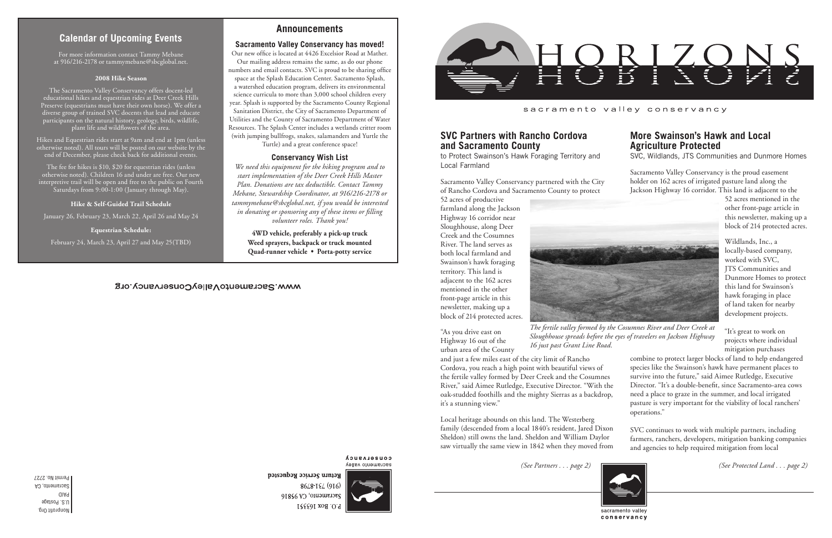Nonprofit Org. U.S. Postage PAID Sacramento, CA Permit No. 2727

## sacramento valley conservancy

# **Calendar of Upcoming Events**

*(See Partners . . . page 2) (See Protected Land . . . page 2)*

# **More Swainson's Hawk and Local Agriculture Protected**

SVC, Wildlands, JTS Communities and Dunmore Homes

Sacramento Valley Conservancy is the proud easement holder on 162 acres of irrigated pasture land along the Jackson Highway 16 corridor. This land is adjacent to the

52 acres mentioned in the other front-page article in this newsletter, making up a block of 214 protected acres.

Wildlands, Inc., a locally-based company, worked with SVC, JTS Communities and Dunmore Homes to protect this land for Swainson's hawk foraging in place of land taken for nearby development projects.

"It's great to work on projects where individual mitigation purchases

combine to protect larger blocks of land to help endangered species like the Swainson's hawk have permanent places to survive into the future," said Aimee Rutledge, Executive Director. "It's a double-benefit, since Sacramento-area cows need a place to graze in the summer, and local irrigated pasture is very important for the viability of local ranchers' operations."

# **SVC Partners with Rancho Cordova and Sacramento County**

to Protect Swainson's Hawk Foraging Territory and Local Farmland

Sacramento Valley Conservancy partnered with the City of Rancho Cordova and Sacramento County to protect

52 acres of productive farmland along the Jackson Highway 16 corridor near Sloughhouse, along Deer Creek and the Cosumnes River. The land serves as both local farmland and Swainson's hawk foraging territory. This land is adjacent to the 162 acres mentioned in the other front-page article in this newsletter, making up a block of 214 protected acres.

SVC continues to work with multiple partners, including farmers, ranchers, developers, mitigation banking companies and agencies to help required mitigation from local Local heritage abounds on this land. The Westerberg family (descended from a local 1840's resident, Jared Dixon Sheldon) still owns the land. Sheldon and William Daylor saw virtually the same view in 1842 when they moved from



conservancy

Return Service Requested

"As you drive east on Highway 16 out of the urban area of the County

and just a few miles east of the city limit of Rancho Cordova, you reach a high point with beautiful views of the fertile valley formed by Deer Creek and the Cosumnes River," said Aimee Rutledge, Executive Director. "With the oak-studded foothills and the mighty Sierras as a backdrop, it's a stunning view."

## **Announcements**

### **Sacramento Valley Conservancy has moved!**

Our new office is located at 4426 Excelsior Road at Mather. Our mailing address remains the same, as do our phone numbers and email contacts. SVC is proud to be sharing office space at the Splash Education Center. Sacramento Splash, a watershed education program, delivers its environmental science curricula to more than 3,000 school children every year. Splash is supported by the Sacramento County Regional Sanitation District, the City of Sacramento Department of Utilities and the County of Sacramento Department of Water Resources. The Splash Center includes a wetlands critter room (with jumping bullfrogs, snakes, salamanders and Yurtle the Turtle) and a great conference space!

### **Conservancy Wish List**

*We need this equipment for the hiking program and to start implementation of the Deer Creek Hills Master Plan. Donations are tax deductible. Contact Tammy Mebane, Stewardship Coordinator, at 916/216-2178 or tammymebane@sbcglobal.net, if you would be interested in donating or sponsoring any of these items or filling volunteer roles. Thank you!*

**4WD vehicle, preferably a pick-up truck Weed sprayers, backpack or truck mounted Quad-runner vehicle • Porta-potty service**

## WWW.SacramentoValleyConservancy.org

**COUSELASUCA** sacramento valley

8648-124 (916) Sacramento, CA 95816 P.O. Box 163351



For more information contact Tammy Mebane at 916/216-2178 or tammymebane@sbcglobal.net.

#### **2008 Hike Season**

The Sacramento Valley Conservancy offers docent-led educational hikes and equestrian rides at Deer Creek Hills Preserve (equestrians must have their own horse). We offer a diverse group of trained SVC docents that lead and educate participants on the natural history, geology, birds, wildlife, plant life and wildflowers of the area.

Hikes and Equestrian rides start at 9am and end at 1pm (unless otherwise noted). All tours will be posted on our website by the end of December, please check back for additional events.

The fee for hikes is \$10, \$20 for equestrian rides (unless otherwise noted). Children 16 and under are free. Our new interpretive trail will be open and free to the public on Fourth Saturdays from 9:00-1:00 (January through May).

#### **Hike & Self-Guided Trail Schedule**

January 26, February 23, March 22, April 26 and May 24

**Equestrian Schedule:**

February 24, March 23, April 27 and May 25(TBD)



*The fertile valley formed by the Cosumnes River and Deer Creek at Sloughhouse spreads before the eyes of travelers on Jackson Highway 16 just past Grant Line Road.*